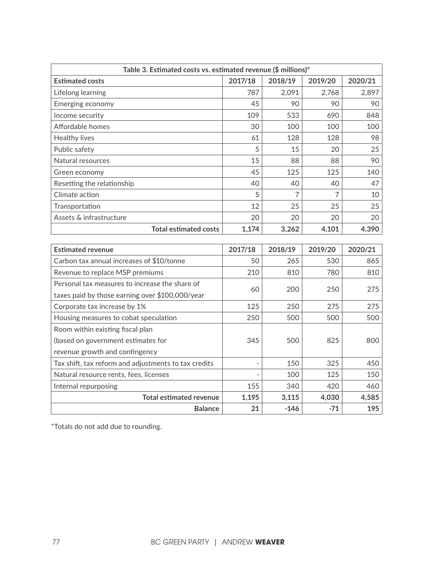| Table 3. Estimated costs vs. estimated revenue (\$ millions)* |         |                |         |         |  |  |  |
|---------------------------------------------------------------|---------|----------------|---------|---------|--|--|--|
| <b>Estimated costs</b>                                        | 2017/18 | 2018/19        | 2019/20 | 2020/21 |  |  |  |
| Lifelong learning                                             | 787     | 2,091          | 2,768   | 2,897   |  |  |  |
| Emerging economy                                              | 45      | 90             | 90      | 90      |  |  |  |
| Income security                                               | 109     | 533            | 690     | 848     |  |  |  |
| Affordable homes                                              | 30      | 100            | 100     | 100     |  |  |  |
| Healthy lives                                                 | 61      | 128            | 128     | 98      |  |  |  |
| Public safety                                                 | 5       | 15             | 20      | 25      |  |  |  |
| Natural resources                                             | 15      | 88             | 88      | 90      |  |  |  |
| Green economy                                                 | 45      | 125            | 125     | 140     |  |  |  |
| Resetting the relationship                                    | 40      | 40             | 40      | 47      |  |  |  |
| Climate action                                                | 5       | $\overline{7}$ | 7       | 10      |  |  |  |
| Transportation                                                | 12      | 25             | 25      | 25      |  |  |  |
| Assets & infrastructure                                       | 20      | 20             | 20      | 20      |  |  |  |
| <b>Total estimated costs</b>                                  | 1,174   | 3,262          | 4,101   | 4,390   |  |  |  |

| <b>Estimated revenue</b>                             | 2017/18 | 2018/19 | 2019/20 | 2020/21 |
|------------------------------------------------------|---------|---------|---------|---------|
| Carbon tax annual increases of \$10/tonne            | 50      | 265     | 530     | 865     |
| Revenue to replace MSP premiums                      | 210     | 810     | 780     | 810     |
| Personal tax measures to increase the share of       | 60      | 200     | 250     | 275     |
| taxes paid by those earning over \$100,000/year      |         |         |         |         |
| Corporate tax increase by 1%                         | 125     | 250     | 275     | 275     |
| Housing measures to cobat speculation                | 250     | 500     | 500     | 500     |
| Room within existing fiscal plan                     |         |         |         |         |
| (based on government estimates for                   | 345     | 500     | 825     | 800     |
| revenue growth and contingency                       |         |         |         |         |
| Tax shift, tax reform and adjustments to tax credits |         | 150     | 325     | 450     |
| Natural resource rents, fees, licenses               |         | 100     | 125     | 150     |
| Internal repurposing                                 | 155     | 340     | 420     | 460     |
| <b>Total estimated revenue</b>                       | 1,195   | 3,115   | 4,030   | 4,585   |
| <b>Balance</b>                                       | 21      | $-146$  | $-71$   | 195     |

\*Totals do not add due to rounding.